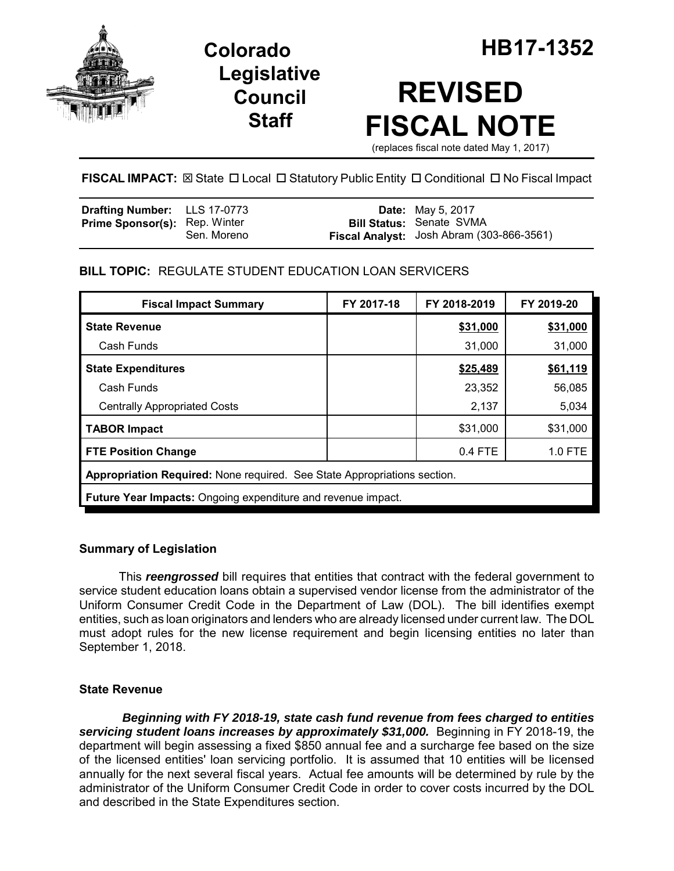

**Legislative Council Staff**

# **REVISED FISCAL NOTE**

(replaces fiscal note dated May 1, 2017)

FISCAL IMPACT:  $\boxtimes$  State  $\Box$  Local  $\Box$  Statutory Public Entity  $\Box$  Conditional  $\Box$  No Fiscal Impact

| <b>Drafting Number:</b> LLS 17-0773  |             | <b>Date:</b> May 5, 2017                                                     |
|--------------------------------------|-------------|------------------------------------------------------------------------------|
| <b>Prime Sponsor(s): Rep. Winter</b> | Sen. Moreno | <b>Bill Status: Senate SVMA</b><br>Fiscal Analyst: Josh Abram (303-866-3561) |

## **BILL TOPIC:** REGULATE STUDENT EDUCATION LOAN SERVICERS

| <b>Fiscal Impact Summary</b>                                                    | FY 2017-18 | FY 2018-2019 | FY 2019-20 |  |  |  |
|---------------------------------------------------------------------------------|------------|--------------|------------|--|--|--|
| <b>State Revenue</b>                                                            |            | \$31,000     | \$31,000   |  |  |  |
| Cash Funds                                                                      |            | 31,000       | 31,000     |  |  |  |
| <b>State Expenditures</b>                                                       |            | \$25,489     | \$61,119   |  |  |  |
| Cash Funds                                                                      |            | 23,352       | 56,085     |  |  |  |
| <b>Centrally Appropriated Costs</b>                                             |            | 2,137        | 5,034      |  |  |  |
| <b>TABOR Impact</b>                                                             |            | \$31,000     | \$31,000   |  |  |  |
| <b>FTE Position Change</b>                                                      |            | $0.4$ FTE    | 1.0 FTE    |  |  |  |
| <b>Appropriation Required:</b> None required. See State Appropriations section. |            |              |            |  |  |  |
| <b>Future Year Impacts:</b> Ongoing expenditure and revenue impact.             |            |              |            |  |  |  |

## **Summary of Legislation**

This *reengrossed* bill requires that entities that contract with the federal government to service student education loans obtain a supervised vendor license from the administrator of the Uniform Consumer Credit Code in the Department of Law (DOL). The bill identifies exempt entities, such as loan originators and lenders who are already licensed under current law. The DOL must adopt rules for the new license requirement and begin licensing entities no later than September 1, 2018.

## **State Revenue**

 *Beginning with FY 2018-19, state cash fund revenue from fees charged to entities servicing student loans increases by approximately \$31,000.* Beginning in FY 2018-19, the department will begin assessing a fixed \$850 annual fee and a surcharge fee based on the size of the licensed entities' loan servicing portfolio. It is assumed that 10 entities will be licensed annually for the next several fiscal years. Actual fee amounts will be determined by rule by the administrator of the Uniform Consumer Credit Code in order to cover costs incurred by the DOL and described in the State Expenditures section.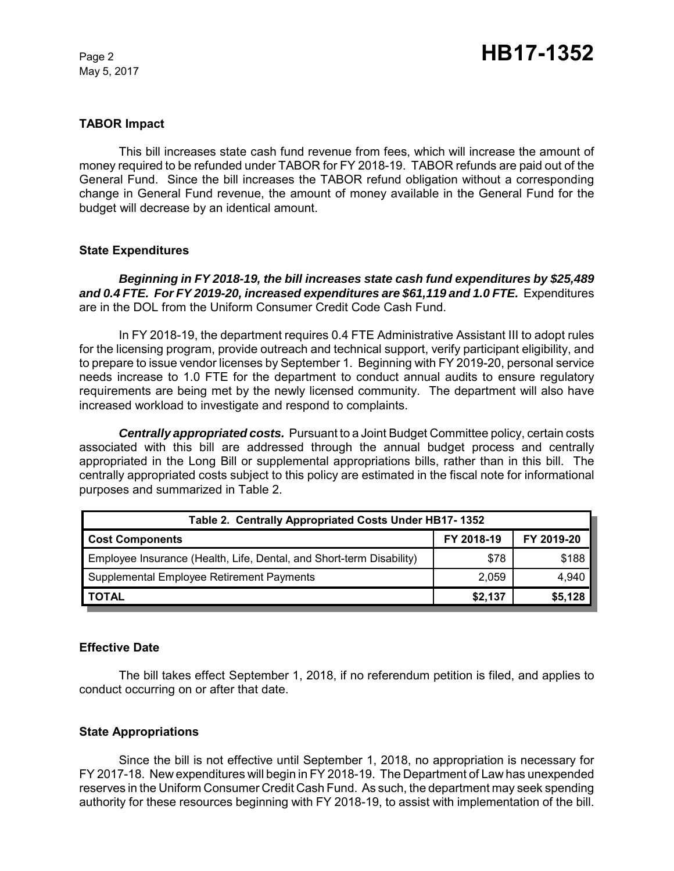May 5, 2017

## **TABOR Impact**

This bill increases state cash fund revenue from fees, which will increase the amount of money required to be refunded under TABOR for FY 2018-19. TABOR refunds are paid out of the General Fund. Since the bill increases the TABOR refund obligation without a corresponding change in General Fund revenue, the amount of money available in the General Fund for the budget will decrease by an identical amount.

#### **State Expenditures**

*Beginning in FY 2018-19, the bill increases state cash fund expenditures by \$25,489 and 0.4 FTE. For FY 2019-20, increased expenditures are \$61,119 and 1.0 FTE.* Expenditures are in the DOL from the Uniform Consumer Credit Code Cash Fund.

In FY 2018-19, the department requires 0.4 FTE Administrative Assistant III to adopt rules for the licensing program, provide outreach and technical support, verify participant eligibility, and to prepare to issue vendor licenses by September 1. Beginning with FY 2019-20, personal service needs increase to 1.0 FTE for the department to conduct annual audits to ensure regulatory requirements are being met by the newly licensed community. The department will also have increased workload to investigate and respond to complaints.

*Centrally appropriated costs.* Pursuant to a Joint Budget Committee policy, certain costs associated with this bill are addressed through the annual budget process and centrally appropriated in the Long Bill or supplemental appropriations bills, rather than in this bill. The centrally appropriated costs subject to this policy are estimated in the fiscal note for informational purposes and summarized in Table 2.

| Table 2. Centrally Appropriated Costs Under HB17-1352                |            |            |  |  |  |
|----------------------------------------------------------------------|------------|------------|--|--|--|
| <b>Cost Components</b>                                               | FY 2018-19 | FY 2019-20 |  |  |  |
| Employee Insurance (Health, Life, Dental, and Short-term Disability) | \$78       | \$188      |  |  |  |
| Supplemental Employee Retirement Payments                            | 2.059      | 4,940      |  |  |  |
| <b>TOTAL</b>                                                         | \$2,137    | \$5,128    |  |  |  |

#### **Effective Date**

The bill takes effect September 1, 2018, if no referendum petition is filed, and applies to conduct occurring on or after that date.

#### **State Appropriations**

Since the bill is not effective until September 1, 2018, no appropriation is necessary for FY 2017-18. New expenditures will begin in FY 2018-19. The Department of Law has unexpended reserves in the Uniform Consumer Credit Cash Fund. As such, the department may seek spending authority for these resources beginning with FY 2018-19, to assist with implementation of the bill.